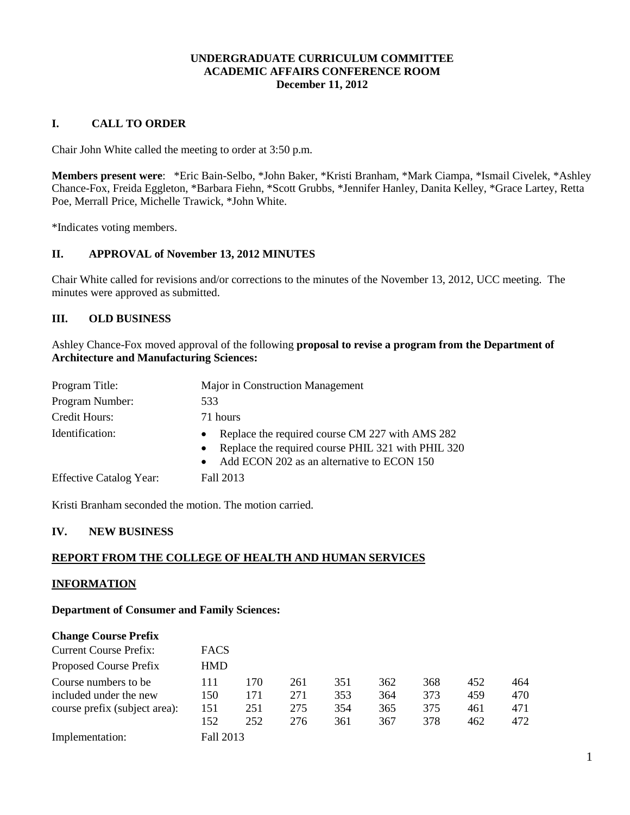### **UNDERGRADUATE CURRICULUM COMMITTEE ACADEMIC AFFAIRS CONFERENCE ROOM December 11, 2012**

### **I. CALL TO ORDER**

Chair John White called the meeting to order at 3:50 p.m.

**Members present were**: \*Eric Bain-Selbo, \*John Baker, \*Kristi Branham, \*Mark Ciampa, \*Ismail Civelek, \*Ashley Chance-Fox, Freida Eggleton, \*Barbara Fiehn, \*Scott Grubbs, \*Jennifer Hanley, Danita Kelley, \*Grace Lartey, Retta Poe, Merrall Price, Michelle Trawick, \*John White.

\*Indicates voting members.

### **II. APPROVAL of November 13, 2012 MINUTES**

Chair White called for revisions and/or corrections to the minutes of the November 13, 2012, UCC meeting. The minutes were approved as submitted.

### **III. OLD BUSINESS**

Ashley Chance-Fox moved approval of the following **proposal to revise a program from the Department of Architecture and Manufacturing Sciences:**

| Program Title:                 | Major in Construction Management                                                                                                                                                           |
|--------------------------------|--------------------------------------------------------------------------------------------------------------------------------------------------------------------------------------------|
| Program Number:                | 533                                                                                                                                                                                        |
| Credit Hours:                  | 71 hours                                                                                                                                                                                   |
| Identification:                | Replace the required course CM 227 with AMS 282<br>$\bullet$<br>Replace the required course PHIL 321 with PHIL 320<br>$\bullet$<br>Add ECON 202 as an alternative to ECON 150<br>$\bullet$ |
| <b>Effective Catalog Year:</b> | Fall 2013                                                                                                                                                                                  |

Kristi Branham seconded the motion. The motion carried.

### **IV. NEW BUSINESS**

## **REPORT FROM THE COLLEGE OF HEALTH AND HUMAN SERVICES**

### **INFORMATION**

**Department of Consumer and Family Sciences:**

| <b>Change Course Prefix</b>   |             |     |     |     |     |     |     |     |
|-------------------------------|-------------|-----|-----|-----|-----|-----|-----|-----|
| <b>Current Course Prefix:</b> | <b>FACS</b> |     |     |     |     |     |     |     |
| Proposed Course Prefix        | <b>HMD</b>  |     |     |     |     |     |     |     |
| Course numbers to be.         | 111         | 170 | 261 | 351 | 362 | 368 | 452 | 464 |
| included under the new        | 150         | 171 | 271 | 353 | 364 | 373 | 459 | 470 |
| course prefix (subject area): | 151         | 251 | 275 | 354 | 365 | 375 | 461 | 471 |
|                               | 152         | 252 | 276 | 361 | 367 | 378 | 462 | 472 |
| Implementation:               | Fall 2013   |     |     |     |     |     |     |     |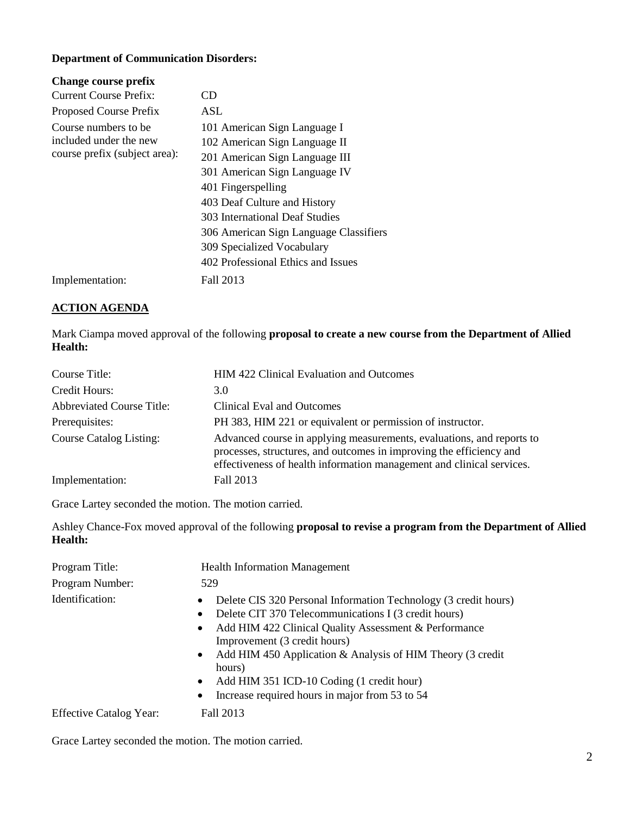## **Department of Communication Disorders:**

| CD                                     |
|----------------------------------------|
| <b>ASL</b>                             |
| 101 American Sign Language I           |
| 102 American Sign Language II          |
| 201 American Sign Language III         |
| 301 American Sign Language IV          |
| 401 Fingerspelling                     |
| 403 Deaf Culture and History           |
| 303 International Deaf Studies         |
| 306 American Sign Language Classifiers |
| 309 Specialized Vocabulary             |
| 402 Professional Ethics and Issues     |
| Fall 2013                              |
|                                        |

### **ACTION AGENDA**

Mark Ciampa moved approval of the following **proposal to create a new course from the Department of Allied Health:**

| Course Title:                    | HIM 422 Clinical Evaluation and Outcomes                                                                                                                                                                              |
|----------------------------------|-----------------------------------------------------------------------------------------------------------------------------------------------------------------------------------------------------------------------|
| Credit Hours:                    | 3.0                                                                                                                                                                                                                   |
| <b>Abbreviated Course Title:</b> | Clinical Eval and Outcomes                                                                                                                                                                                            |
| Prerequisites:                   | PH 383, HIM 221 or equivalent or permission of instructor.                                                                                                                                                            |
| <b>Course Catalog Listing:</b>   | Advanced course in applying measurements, evaluations, and reports to<br>processes, structures, and outcomes in improving the efficiency and<br>effectiveness of health information management and clinical services. |
| Implementation:                  | Fall 2013                                                                                                                                                                                                             |

Grace Lartey seconded the motion. The motion carried.

Ashley Chance-Fox moved approval of the following **proposal to revise a program from the Department of Allied Health:**

| Program Title:                 | <b>Health Information Management</b>                                                                                                                                                                                                                                                                                                                                                                                                                         |  |
|--------------------------------|--------------------------------------------------------------------------------------------------------------------------------------------------------------------------------------------------------------------------------------------------------------------------------------------------------------------------------------------------------------------------------------------------------------------------------------------------------------|--|
| Program Number:                | 529                                                                                                                                                                                                                                                                                                                                                                                                                                                          |  |
| Identification:                | Delete CIS 320 Personal Information Technology (3 credit hours)<br>$\bullet$<br>Delete CIT 370 Telecommunications I (3 credit hours)<br>$\bullet$<br>Add HIM 422 Clinical Quality Assessment & Performance<br>$\bullet$<br>Improvement (3 credit hours)<br>• Add HIM 450 Application $&$ Analysis of HIM Theory (3 credit<br>hours)<br>Add HIM 351 ICD-10 Coding (1 credit hour)<br>$\bullet$<br>Increase required hours in major from 53 to 54<br>$\bullet$ |  |
| <b>Effective Catalog Year:</b> | Fall 2013                                                                                                                                                                                                                                                                                                                                                                                                                                                    |  |

Grace Lartey seconded the motion. The motion carried.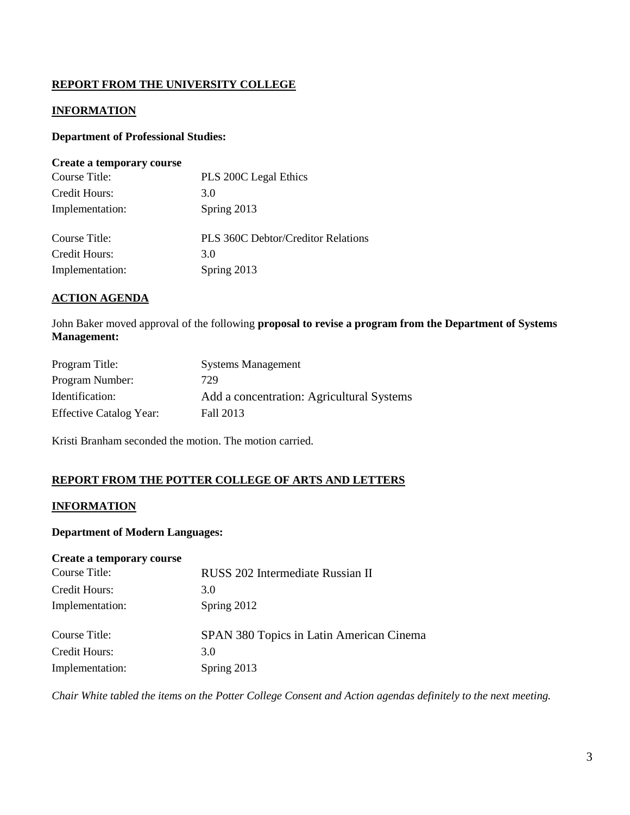# **REPORT FROM THE UNIVERSITY COLLEGE**

## **INFORMATION**

### **Department of Professional Studies:**

#### **Create a temporary course**

| Course Title:   | PLS 200C Legal Ethics                     |
|-----------------|-------------------------------------------|
| Credit Hours:   | 3.0                                       |
| Implementation: | Spring 2013                               |
| Course Title:   | <b>PLS 360C Debtor/Creditor Relations</b> |
| Credit Hours:   | 3.0                                       |
| Implementation: | Spring 2013                               |

### **ACTION AGENDA**

John Baker moved approval of the following **proposal to revise a program from the Department of Systems Management:**

| Program Title:                 | <b>Systems Management</b>                 |
|--------------------------------|-------------------------------------------|
| Program Number:                | 729                                       |
| Identification:                | Add a concentration: Agricultural Systems |
| <b>Effective Catalog Year:</b> | Fall 2013                                 |

Kristi Branham seconded the motion. The motion carried.

### **REPORT FROM THE POTTER COLLEGE OF ARTS AND LETTERS**

### **INFORMATION**

### **Department of Modern Languages:**

#### **Create a temporary course**

| Course Title:   | RUSS 202 Intermediate Russian II         |
|-----------------|------------------------------------------|
| Credit Hours:   | 3.0                                      |
| Implementation: | Spring 2012                              |
| Course Title:   | SPAN 380 Topics in Latin American Cinema |
| Credit Hours:   | 3.0                                      |
| Implementation: | Spring 2013                              |

*Chair White tabled the items on the Potter College Consent and Action agendas definitely to the next meeting.*